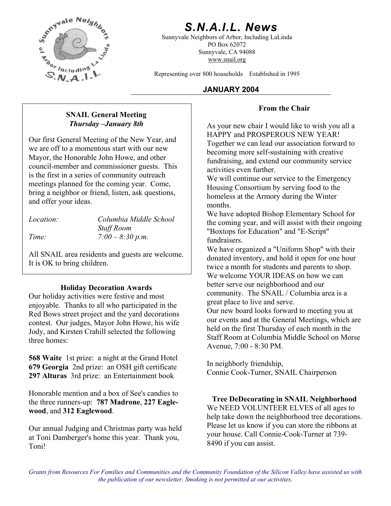

# *S.N.A.I.L. News*

Sunnyvale Neighbors of Arbor, Including LaLinda PO Box 62072 Sunnyvale, CA 94088 www.snail.org

Representing over 800 households Established in 1995

## **JANUARY 2004**

## **From the Chair**

As your new chair I would like to wish you all a HAPPY and PROSPEROUS NEW YEAR! Together we can lead our association forward to becoming more self-sustaining with creative fundraising, and extend our community service activities even further.

We will continue our service to the Emergency Housing Consortium by serving food to the homeless at the Armory during the Winter months.

We have adopted Bishop Elementary School for the coming year, and will assist with their ongoing "Boxtops for Education" and "E-Script" fundraisers.

We have organized a "Uniform Shop" with their donated inventory, and hold it open for one hour twice a month for students and parents to shop. We welcome YOUR IDEAS on how we can better serve our neighborhood and our community. The SNAIL / Columbia area is a great place to live and serve.

Our new board looks forward to meeting you at our events and at the General Meetings, which are held on the first Thursday of each month in the Staff Room at Columbia Middle School on Morse Avenue, 7:00 - 8:30 PM.

In neighborly friendship, Connie Cook-Turner, SNAIL Chairperson

**Tree DeDecorating in SNAIL Neighborhood**  We NEED VOLUNTEER ELVES of all ages to help take down the neighborhood tree decorations. Please let us know if you can store the ribbons at your house. Call Connie-Cook-Turner at 739- 8490 if you can assist.

## **SNAIL General Meeting**  *Thursday –January 8th*

Our first General Meeting of the New Year, and we are off to a momentous start with our new Mayor, the Honorable John Howe, and other council-member and commissioner guests. This is the first in a series of community outreach meetings planned for the coming year. Come, bring a neighbor or friend, listen, ask questions, and offer your ideas.

*Location: Columbia Middle School Staff Room Time: 7:00 – 8:30 p.m.* 

All SNAIL area residents and guests are welcome. It is OK to bring children.

## **Holiday Decoration Awards**

Our holiday activities were festive and most enjoyable. Thanks to all who participated in the Red Bows street project and the yard decorations contest. Our judges, Mayor John Howe, his wife Jody, and Kirsten Crahill selected the following three homes:

**568 Waite** 1st prize: a night at the Grand Hotel **679 Georgia** 2nd prize: an OSH gift certificate **297 Alturas** 3rd prize: an Entertainment book

Honorable mention and a box of See's candies to the three runners-up: **787 Madrone**, **227 Eaglewood**, and **312 Eaglewood**.

Our annual Judging and Christmas party was held at Toni Damberger's home this year. Thank you, Toni!

*Grants from Resources For Families and Communities and the Community Foundation of the Silicon Valley have assisted us with the publication of our newsletter. Smoking is not permitted at our activities.*